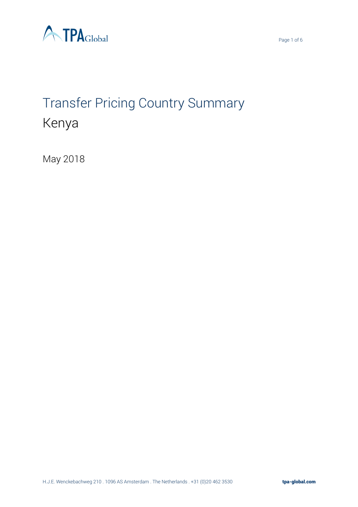



# Transfer Pricing Country Summary Kenya

May 2018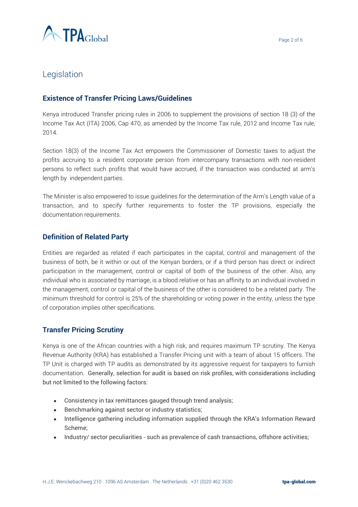

# Legislation

#### **Existence of Transfer Pricing Laws/Guidelines**

Kenya introduced Transfer pricing rules in 2006 to supplement the provisions of section 18 (3) of the Income Tax Act (ITA) 2006, Cap 470, as amended by the Income Tax rule, 2012 and Income Tax rule, 2014.

Section 18(3) of the Income Tax Act empowers the Commissioner of Domestic taxes to adjust the profits accruing to a resident corporate person from intercompany transactions with non-resident persons to reflect such profits that would have accrued, if the transaction was conducted at arm's length by independent parties.

The Minister is also empowered to issue guidelines for the determination of the Arm's Length value of a transaction, and to specify further requirements to foster the TP provisions, especially the documentation requirements.

#### **Definition of Related Party**

Entities are regarded as related if each participates in the capital, control and management of the business of both, be it within or out of the Kenyan borders, or if a third person has direct or indirect participation in the management, control or capital of both of the business of the other. Also, any individual who is associated by marriage, is a blood relative or has an affinity to an individual involved in the management, control or capital of the business of the other is considered to be a related party. The minimum threshold for control is 25% of the shareholding or voting power in the entity, unless the type of corporation implies other specifications.

#### **Transfer Pricing Scrutiny**

Kenya is one of the African countries with a high risk, and requires maximum TP scrutiny. The Kenya Revenue Authority (KRA) has established a Transfer Pricing unit with a team of about 15 officers. The TP Unit is charged with TP audits as demonstrated by its aggressive request for taxpayers to furnish documentation. Generally, selection for audit is based on risk profiles, with considerations including but not limited to the following factors:

- Consistency in tax remittances gauged through trend analysis;
- Benchmarking against sector or industry statistics;
- Intelligence gathering including information supplied through the KRA's Information Reward Scheme;
- Industry/ sector peculiarities such as prevalence of cash transactions, offshore activities;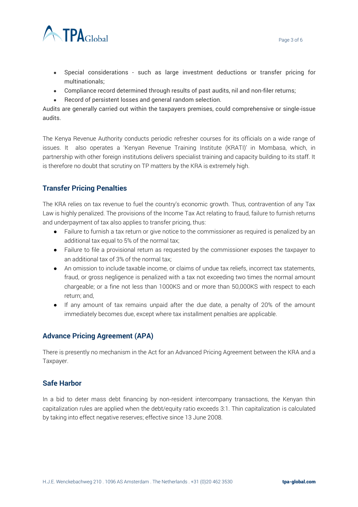

- Special considerations such as large investment deductions or transfer pricing for multinationals;
- Compliance record determined through results of past audits, nil and non-filer returns;
- Record of persistent losses and general random selection.

Audits are generally carried out within the taxpayers premises, could comprehensive or single-issue audits.

The Kenya Revenue Authority conducts periodic refresher courses for its officials on a wide range of issues. It also operates a 'Kenyan Revenue Training Institute (KRATI)' in Mombasa, which, in partnership with other foreign institutions delivers specialist training and capacity building to its staff. It is therefore no doubt that scrutiny on TP matters by the KRA is extremely high.

## **Transfer Pricing Penalties**

The KRA relies on tax revenue to fuel the country's economic growth. Thus, contravention of any Tax Law is highly penalized. The provisions of the Income Tax Act relating to fraud, failure to furnish returns and underpayment of tax also applies to transfer pricing, thus:

- Failure to furnish a tax return or give notice to the commissioner as required is penalized by an additional tax equal to 5% of the normal tax;
- Failure to file a provisional return as requested by the commissioner exposes the taxpayer to an additional tax of 3% of the normal tax;
- An omission to include taxable income, or claims of undue tax reliefs, incorrect tax statements, fraud, or gross negligence is penalized with a tax not exceeding two times the normal amount chargeable; or a fine not less than 1000KS and or more than 50,000KS with respect to each return; and,
- If any amount of tax remains unpaid after the due date, a penalty of 20% of the amount immediately becomes due, except where tax installment penalties are applicable.

## **Advance Pricing Agreement (APA)**

There is presently no mechanism in the Act for an Advanced Pricing Agreement between the KRA and a Taxpayer.

#### **Safe Harbor**

In a bid to deter mass debt financing by non-resident intercompany transactions, the Kenyan thin capitalization rules are applied when the debt/equity ratio exceeds 3:1. Thin capitalization is calculated by taking into effect negative reserves; effective since 13 June 2008.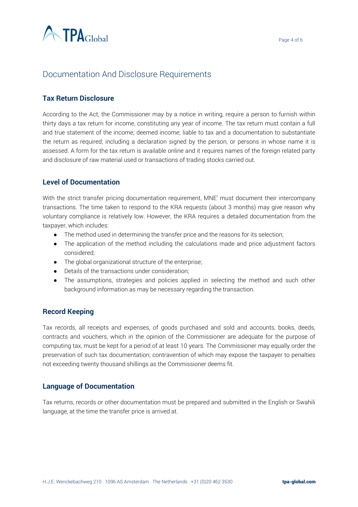

# Documentation And Disclosure Requirements

## **Tax Return Disclosure**

According to the Act, the Commissioner may by a notice in writing, require a person to furnish within thirty days a tax return for income, constituting any year of income. The tax return must contain a full and true statement of the income; deemed income; liable to tax and a documentation to substantiate the return as required; including a declaration signed by the person, or persons in whose name it is assessed. A form for the tax return is available online and it requires names of the foreign related party and disclosure of raw material used or transactions of trading stocks carried out.

## **Level of Documentation**

With the strict transfer pricing documentation requirement, MNE' must document their intercompany transactions. The time taken to respond to the KRA requests (about 3 months) may give reason why voluntary compliance is relatively low. However, the KRA requires a detailed documentation from the taxpayer, which includes:

- The method used in determining the transfer price and the reasons for its selection;
- The application of the method including the calculations made and price adjustment factors considered;
- The global organizational structure of the enterprise;
- Details of the transactions under consideration;
- The assumptions, strategies and policies applied in selecting the method and such other background information as may be necessary regarding the transaction.

## **Record Keeping**

Tax records, all receipts and expenses, of goods purchased and sold and accounts, books, deeds, contracts and vouchers, which in the opinion of the Commissioner are adequate for the purpose of computing tax, must be kept for a period of at least 10 years. The Commissioner may equally order the preservation of such tax documentation; contravention of which may expose the taxpayer to penalties not exceeding twenty thousand shillings as the Commissioner deems fit.

## **Language of Documentation**

Tax returns, records or other documentation must be prepared and submitted in the English or Swahili language, at the time the transfer price is arrived at.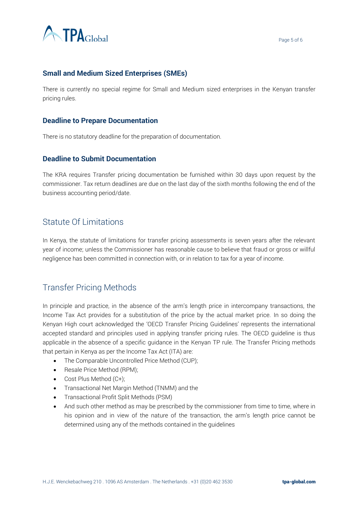

## **Small and Medium Sized Enterprises (SMEs)**

There is currently no special regime for Small and Medium sized enterprises in the Kenyan transfer pricing rules.

#### **Deadline to Prepare Documentation**

There is no statutory deadline for the preparation of documentation.

#### **Deadline to Submit Documentation**

The KRA requires Transfer pricing documentation be furnished within 30 days upon request by the commissioner. Tax return deadlines are due on the last day of the sixth months following the end of the business accounting period/date.

# Statute Of Limitations

In Kenya, the statute of limitations for transfer pricing assessments is seven years after the relevant year of income; unless the Commissioner has reasonable cause to believe that fraud or gross or willful negligence has been committed in connection with, or in relation to tax for a year of income.

# Transfer Pricing Methods

In principle and practice, in the absence of the arm's length price in intercompany transactions, the Income Tax Act provides for a substitution of the price by the actual market price. In so doing the Kenyan High court acknowledged the 'OECD Transfer Pricing Guidelines' represents the international accepted standard and principles used in applying transfer pricing rules. The OECD guideline is thus applicable in the absence of a specific guidance in the Kenyan TP rule. The Transfer Pricing methods that pertain in Kenya as per the Income Tax Act (ITA) are:

- The Comparable Uncontrolled Price Method (CUP);
- Resale Price Method (RPM);
- Cost Plus Method (C+);
- Transactional Net Margin Method (TNMM) and the
- Transactional Profit Split Methods (PSM)
- And such other method as may be prescribed by the commissioner from time to time, where in his opinion and in view of the nature of the transaction, the arm's length price cannot be determined using any of the methods contained in the guidelines